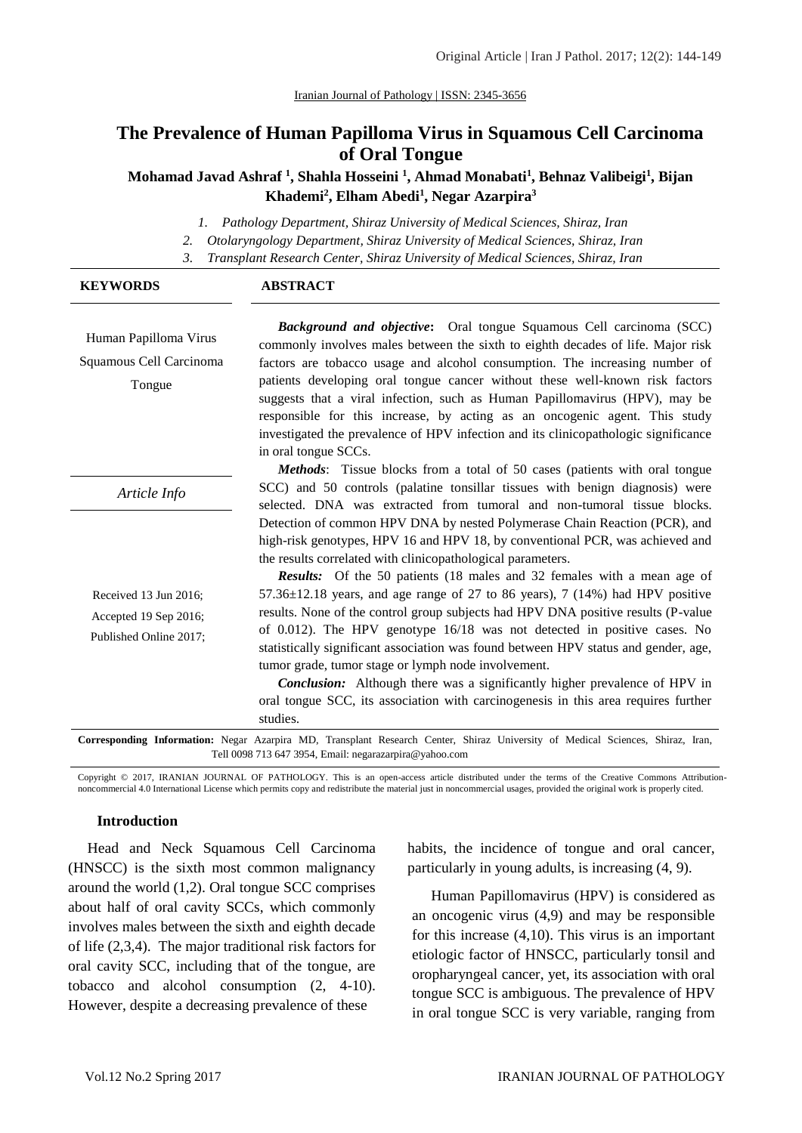# **The Prevalence of Human Papilloma Virus in Squamous Cell Carcinoma of Oral Tongue**

**Mohamad Javad Ashraf <sup>1</sup> , Shahla Hosseini <sup>1</sup> , Ahmad Monabati<sup>1</sup> , Behnaz Valibeigi<sup>1</sup> , Bijan Khademi<sup>2</sup> , Elham Abedi<sup>1</sup> , Negar Azarpira<sup>3</sup>**

*1. Pathology Department, Shiraz University of Medical Sciences, Shiraz, Iran*

*2. Otolaryngology Department, Shiraz University of Medical Sciences, Shiraz, Iran*

*3. Transplant Research Center, Shiraz University of Medical Sciences, Shiraz, Iran*

| <b>KEYWORDS</b>                                                                                                                                                                                            | <b>ABSTRACT</b>                                                                                                                                                                                                                                                                                                                                                                                                                                                                                                                                                                                                                                                                                                                                                                                                                                                                                         |
|------------------------------------------------------------------------------------------------------------------------------------------------------------------------------------------------------------|---------------------------------------------------------------------------------------------------------------------------------------------------------------------------------------------------------------------------------------------------------------------------------------------------------------------------------------------------------------------------------------------------------------------------------------------------------------------------------------------------------------------------------------------------------------------------------------------------------------------------------------------------------------------------------------------------------------------------------------------------------------------------------------------------------------------------------------------------------------------------------------------------------|
| Human Papilloma Virus<br>Squamous Cell Carcinoma<br>Tongue                                                                                                                                                 | <b>Background and objective:</b> Oral tongue Squamous Cell carcinoma (SCC)<br>commonly involves males between the sixth to eighth decades of life. Major risk<br>factors are tobacco usage and alcohol consumption. The increasing number of<br>patients developing oral tongue cancer without these well-known risk factors<br>suggests that a viral infection, such as Human Papillomavirus (HPV), may be<br>responsible for this increase, by acting as an oncogenic agent. This study<br>investigated the prevalence of HPV infection and its clinicopathologic significance<br>in oral tongue SCCs.                                                                                                                                                                                                                                                                                                |
|                                                                                                                                                                                                            | <b>Methods:</b> Tissue blocks from a total of 50 cases (patients with oral tongue                                                                                                                                                                                                                                                                                                                                                                                                                                                                                                                                                                                                                                                                                                                                                                                                                       |
| Article Info                                                                                                                                                                                               | SCC) and 50 controls (palatine tonsillar tissues with benign diagnosis) were<br>selected. DNA was extracted from tumoral and non-tumoral tissue blocks.                                                                                                                                                                                                                                                                                                                                                                                                                                                                                                                                                                                                                                                                                                                                                 |
| Received 13 Jun 2016;<br>Accepted 19 Sep 2016;<br>Published Online 2017;<br>Corresponding Information: Negar Azarpira MD, Transplant Research Center, Shiraz University of Medical Sciences, Shiraz, Iran, | Detection of common HPV DNA by nested Polymerase Chain Reaction (PCR), and<br>high-risk genotypes, HPV 16 and HPV 18, by conventional PCR, was achieved and<br>the results correlated with clinicopathological parameters.<br><b>Results:</b> Of the 50 patients (18 males and 32 females with a mean age of<br>$57.36\pm12.18$ years, and age range of 27 to 86 years), 7 (14%) had HPV positive<br>results. None of the control group subjects had HPV DNA positive results (P-value<br>of 0.012). The HPV genotype 16/18 was not detected in positive cases. No<br>statistically significant association was found between HPV status and gender, age,<br>tumor grade, tumor stage or lymph node involvement.<br><b>Conclusion:</b> Although there was a significantly higher prevalence of HPV in<br>oral tongue SCC, its association with carcinogenesis in this area requires further<br>studies. |

Tell 0098 713 647 3954, Email: negarazarpira@yahoo.com

Copyright © 2017, IRANIAN JOURNAL OF PATHOLOGY. This is an open-access article distributed under the terms of the Creative Commons Attributionnoncommercial 4.0 International License which permits copy and redistribute the material just in noncommercial usages, provided the original work is properly cited.

### **Introduction**

Head and Neck Squamous Cell Carcinoma (HNSCC) is the sixth most common malignancy around the world (1,2). Oral tongue SCC comprises about half of oral cavity SCCs, which commonly involves males between the sixth and eighth decade of life (2,3,4). The major traditional risk factors for oral cavity SCC, including that of the tongue, are tobacco and alcohol consumption (2, 4-10). However, despite a decreasing prevalence of these

habits, the incidence of tongue and oral cancer, particularly in young adults, is increasing (4, 9).

Human Papillomavirus (HPV) is considered as an oncogenic virus (4,9) and may be responsible for this increase (4,10). This virus is an important etiologic factor of HNSCC, particularly tonsil and oropharyngeal cancer, yet, its association with oral tongue SCC is ambiguous. The prevalence of HPV in oral tongue SCC is very variable, ranging from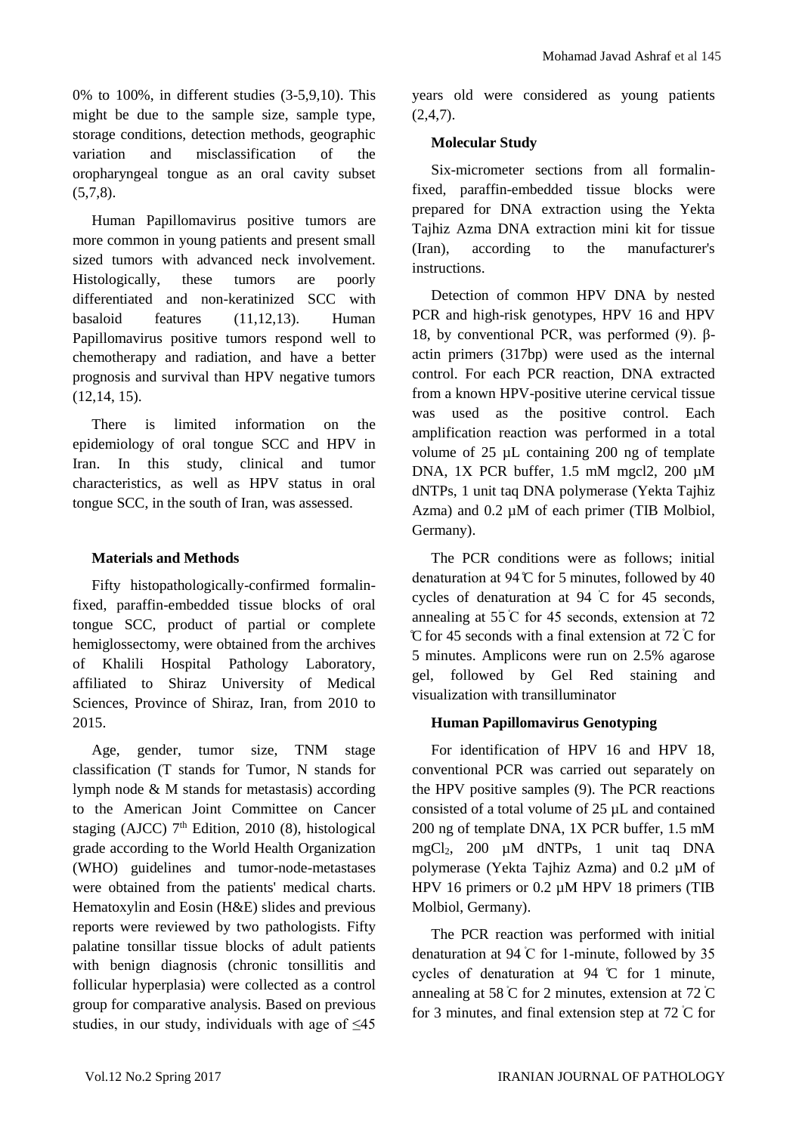0% to 100%, in different studies (3-5,9,10). This might be due to the sample size, sample type, storage conditions, detection methods, geographic variation and misclassification of the oropharyngeal tongue as an oral cavity subset (5,7,8).

Human Papillomavirus positive tumors are more common in young patients and present small sized tumors with advanced neck involvement. Histologically, these tumors are poorly differentiated and non-keratinized SCC with basaloid features (11,12,13). Human Papillomavirus positive tumors respond well to chemotherapy and radiation, and have a better prognosis and survival than HPV negative tumors (12,14, 15).

There is limited information on the epidemiology of oral tongue SCC and HPV in Iran. In this study, clinical and tumor characteristics, as well as HPV status in oral tongue SCC, in the south of Iran, was assessed.

# **Materials and Methods**

Fifty histopathologically-confirmed formalinfixed, paraffin-embedded tissue blocks of oral tongue SCC, product of partial or complete hemiglossectomy, were obtained from the archives of Khalili Hospital Pathology Laboratory, affiliated to Shiraz University of Medical Sciences, Province of Shiraz, Iran, from 2010 to 2015.

Age, gender, tumor size, TNM stage classification (T stands for Tumor, N stands for lymph node & M stands for metastasis) according to the American Joint Committee on Cancer staging (AJCC)  $7<sup>th</sup>$  Edition, 2010 (8), histological grade according to the World Health Organization (WHO) guidelines and tumor-node-metastases were obtained from the patients' medical charts. Hematoxylin and Eosin (H&E) slides and previous reports were reviewed by two pathologists. Fifty palatine tonsillar tissue blocks of adult patients with benign diagnosis (chronic tonsillitis and follicular hyperplasia) were collected as a control group for comparative analysis. Based on previous studies, in our study, individuals with age of  $\leq 45$ 

years old were considered as young patients  $(2,4,7)$ .

# **Molecular Study**

Six-micrometer sections from all formalinfixed, paraffin-embedded tissue blocks were prepared for DNA extraction using the Yekta Tajhiz Azma DNA extraction mini kit for tissue (Iran), according to the manufacturer's instructions.

Detection of common HPV DNA by nested PCR and high-risk genotypes, HPV 16 and HPV 18, by conventional PCR, was performed (9). βactin primers (317bp) were used as the internal control. For each PCR reaction, DNA extracted from a known HPV-positive uterine cervical tissue was used as the positive control. Each amplification reaction was performed in a total volume of 25 µL containing 200 ng of template DNA, 1X PCR buffer, 1.5 mM mgcl2, 200 µM dNTPs, 1 unit taq DNA polymerase (Yekta Tajhiz Azma) and 0.2  $\mu$ M of each primer (TIB Molbiol, Germany).

The PCR conditions were as follows; initial denaturation at 94  $\mathbb C$  for 5 minutes, followed by 40 cycles of denaturation at 94 ̊C for 45 seconds, annealing at 55 ̊C for 45 seconds, extension at 72 ̊C for 45 seconds with a final extension at 72 ̊C for 5 minutes. Amplicons were run on 2.5% agarose gel, followed by Gel Red staining and visualization with transilluminator

# **Human Papillomavirus Genotyping**

For identification of HPV 16 and HPV 18, conventional PCR was carried out separately on the HPV positive samples (9). The PCR reactions consisted of a total volume of 25 µL and contained 200 ng of template DNA, 1X PCR buffer, 1.5 mM mgCl2, 200 µM dNTPs, 1 unit taq DNA polymerase (Yekta Tajhiz Azma) and 0.2 µM of HPV 16 primers or 0.2 µM HPV 18 primers (TIB Molbiol, Germany).

The PCR reaction was performed with initial denaturation at 94 ̊C for 1-minute, followed by 35 cycles of denaturation at 94 ̊C for 1 minute, annealing at 58  $\degree$ C for 2 minutes, extension at 72  $\degree$ C for 3 minutes, and final extension step at  $72^{\circ}$ C for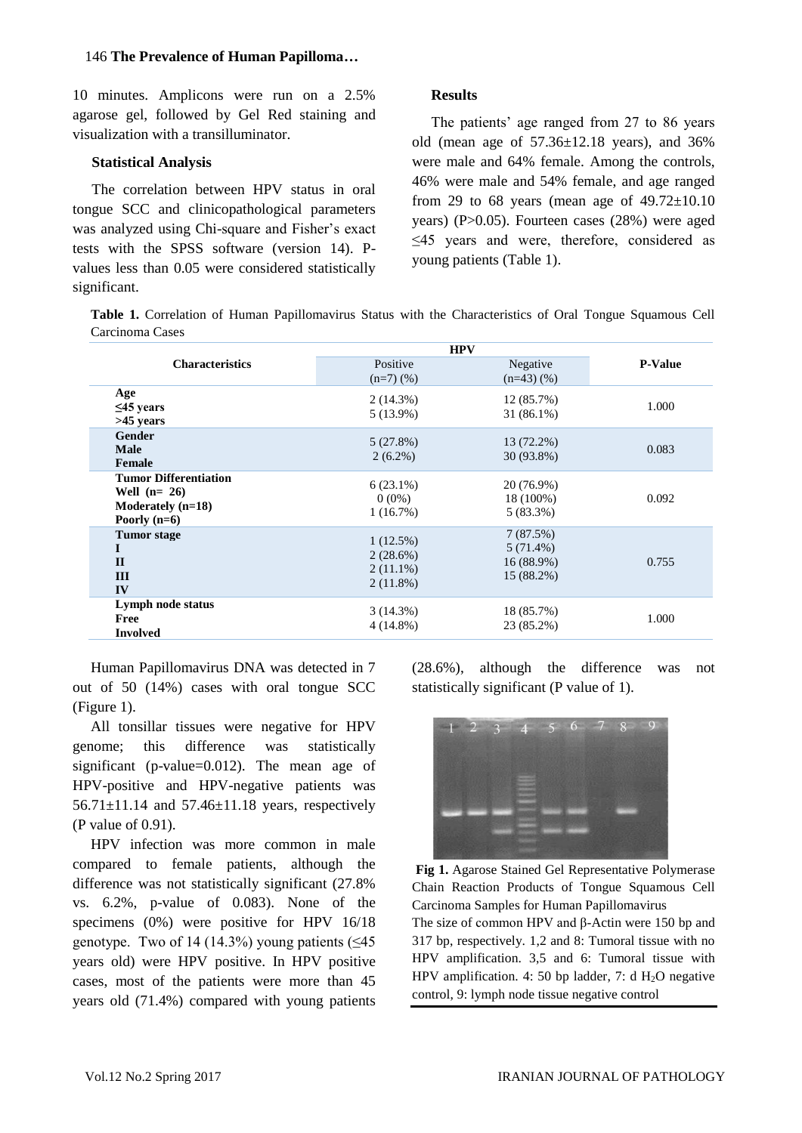### 146 **The Prevalence of Human Papilloma…**

10 minutes. Amplicons were run on a 2.5% agarose gel, followed by Gel Red staining and visualization with a transilluminator.

### **Statistical Analysis**

The correlation between HPV status in oral tongue SCC and clinicopathological parameters was analyzed using Chi-square and Fisher's exact tests with the SPSS software (version 14). Pvalues less than 0.05 were considered statistically significant.

# **Results**

The patients' age ranged from 27 to 86 years old (mean age of 57.36±12.18 years), and 36% were male and 64% female. Among the controls, 46% were male and 54% female, and age ranged from 29 to 68 years (mean age of  $49.72 \pm 10.10$ years) (P>0.05). Fourteen cases (28%) were aged ≤45 years and were, therefore, considered as young patients (Table 1).

**Table 1.** Correlation of Human Papillomavirus Status with the Characteristics of Oral Tongue Squamous Cell Carcinoma Cases

|                                                                                        | <b>HPV</b>                                         |                                                     |                |
|----------------------------------------------------------------------------------------|----------------------------------------------------|-----------------------------------------------------|----------------|
| <b>Characteristics</b>                                                                 | Positive                                           | Negative                                            | <b>P-Value</b> |
|                                                                                        | $(n=7)$ $(\%)$                                     | $(n=43)(%$                                          |                |
| Age<br>$\leq$ 45 years<br>>45 years                                                    | 2(14.3%)<br>$5(13.9\%)$                            | 12 (85.7%)<br>$31(86.1\%)$                          | 1.000          |
| <b>Gender</b><br><b>Male</b><br>Female                                                 | 5(27.8%)<br>$2(6.2\%)$                             | 13 (72.2%)<br>30 (93.8%)                            | 0.083          |
| <b>Tumor Differentiation</b><br>Well $(n=26)$<br>Moderately $(n=18)$<br>Poorly $(n=6)$ | $6(23.1\%)$<br>$0(0\%)$<br>1(16.7%)                | 20 (76.9%)<br>18 (100%)<br>$5(83.3\%)$              | 0.092          |
| <b>Tumor</b> stage<br>$\mathbf{H}$<br>III<br>IV                                        | 1(12.5%)<br>2(28.6%)<br>$2(11.1\%)$<br>$2(11.8\%)$ | 7(87.5%)<br>$5(71.4\%)$<br>16 (88.9%)<br>15 (88.2%) | 0.755          |
| Lymph node status<br>Free<br><b>Involved</b>                                           | 3(14.3%)<br>$4(14.8\%)$                            | 18 (85.7%)<br>23 (85.2%)                            | 1.000          |

Human Papillomavirus DNA was detected in 7 out of 50 (14%) cases with oral tongue SCC (Figure 1).

All tonsillar tissues were negative for HPV genome; this difference was statistically significant (p-value=0.012). The mean age of HPV-positive and HPV-negative patients was 56.71 $\pm$ 11.14 and 57.46 $\pm$ 11.18 years, respectively (P value of 0.91).

HPV infection was more common in male compared to female patients, although the difference was not statistically significant (27.8% vs. 6.2%, p-value of 0.083). None of the specimens (0%) were positive for HPV 16/18 genotype. Two of 14 (14.3%) young patients  $(\leq 45)$ years old) were HPV positive. In HPV positive cases, most of the patients were more than 45 years old (71.4%) compared with young patients (28.6%), although the difference was not statistically significant (P value of 1).



**Fig 1.** Agarose Stained Gel Representative Polymerase Chain Reaction Products of Tongue Squamous Cell Carcinoma Samples for Human Papillomavirus

The size of common HPV and β-Actin were 150 bp and 317 bp, respectively. 1,2 and 8: Tumoral tissue with no HPV amplification. 3,5 and 6: Tumoral tissue with HPV amplification. 4: 50 bp ladder, 7: d  $H_2O$  negative control, 9: lymph node tissue negative control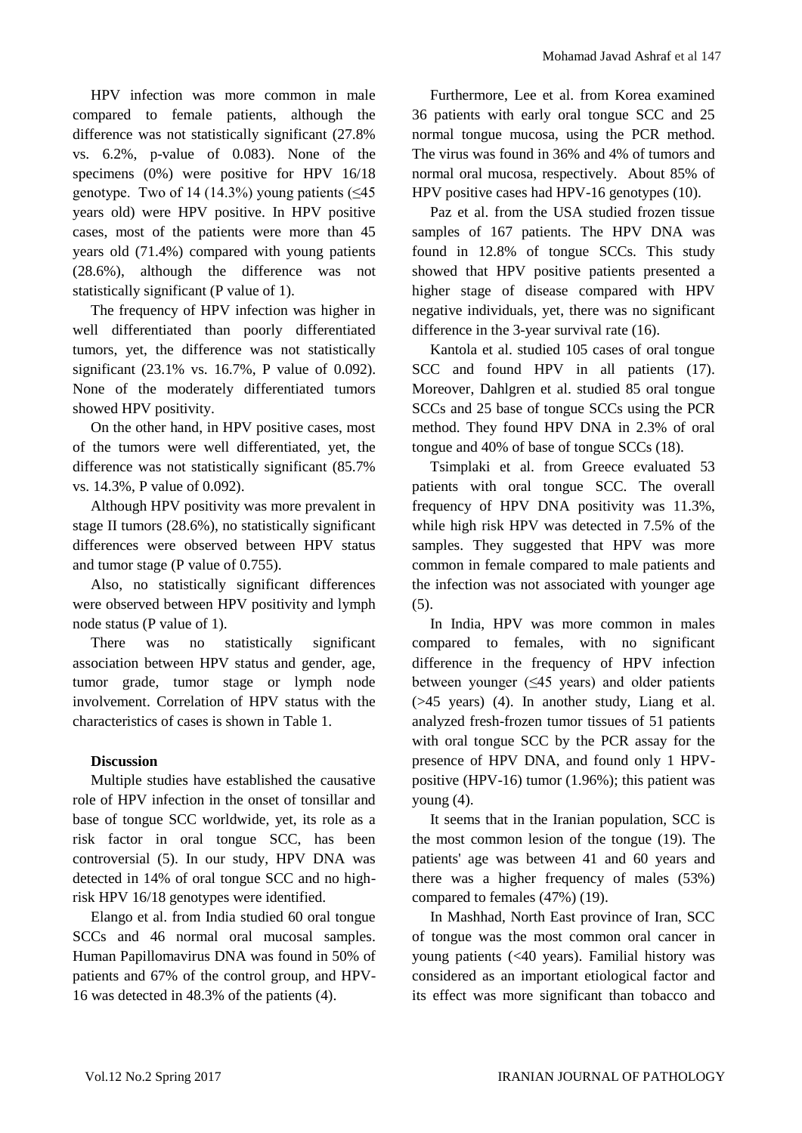HPV infection was more common in male compared to female patients, although the difference was not statistically significant (27.8% vs. 6.2%, p-value of 0.083). None of the specimens (0%) were positive for HPV 16/18 genotype. Two of 14 (14.3%) young patients  $(\leq 45)$ years old) were HPV positive. In HPV positive cases, most of the patients were more than 45 years old (71.4%) compared with young patients (28.6%), although the difference was not statistically significant (P value of 1).

The frequency of HPV infection was higher in well differentiated than poorly differentiated tumors, yet, the difference was not statistically significant (23.1% vs. 16.7%, P value of 0.092). None of the moderately differentiated tumors showed HPV positivity.

On the other hand, in HPV positive cases, most of the tumors were well differentiated, yet, the difference was not statistically significant (85.7% vs. 14.3%, P value of 0.092).

Although HPV positivity was more prevalent in stage II tumors (28.6%), no statistically significant differences were observed between HPV status and tumor stage (P value of 0.755).

Also, no statistically significant differences were observed between HPV positivity and lymph node status (P value of 1).

There was no statistically significant association between HPV status and gender, age, tumor grade, tumor stage or lymph node involvement. Correlation of HPV status with the characteristics of cases is shown in Table 1.

# **Discussion**

Multiple studies have established the causative role of HPV infection in the onset of tonsillar and base of tongue SCC worldwide, yet, its role as a risk factor in oral tongue SCC, has been controversial (5). In our study, HPV DNA was detected in 14% of oral tongue SCC and no highrisk HPV 16/18 genotypes were identified.

Elango et al. from India studied 60 oral tongue SCCs and 46 normal oral mucosal samples. Human Papillomavirus DNA was found in 50% of patients and 67% of the control group, and HPV-16 was detected in 48.3% of the patients (4).

Furthermore, Lee et al. from Korea examined 36 patients with early oral tongue SCC and 25 normal tongue mucosa, using the PCR method. The virus was found in 36% and 4% of tumors and normal oral mucosa, respectively. About 85% of HPV positive cases had HPV-16 genotypes (10).

Paz et al. from the USA studied frozen tissue samples of 167 patients. The HPV DNA was found in 12.8% of tongue SCCs. This study showed that HPV positive patients presented a higher stage of disease compared with HPV negative individuals, yet, there was no significant difference in the 3-year survival rate (16).

Kantola et al. studied 105 cases of oral tongue SCC and found HPV in all patients (17). Moreover, Dahlgren et al. studied 85 oral tongue SCCs and 25 base of tongue SCCs using the PCR method. They found HPV DNA in 2.3% of oral tongue and 40% of base of tongue SCCs (18).

Tsimplaki et al. from Greece evaluated 53 patients with oral tongue SCC. The overall frequency of HPV DNA positivity was 11.3%, while high risk HPV was detected in 7.5% of the samples. They suggested that HPV was more common in female compared to male patients and the infection was not associated with younger age (5).

In India, HPV was more common in males compared to females, with no significant difference in the frequency of HPV infection between younger  $(≤45 \text{ years})$  and older patients (>45 years) (4). In another study, Liang et al. analyzed fresh-frozen tumor tissues of 51 patients with oral tongue SCC by the PCR assay for the presence of HPV DNA, and found only 1 HPVpositive (HPV-16) tumor (1.96%); this patient was young (4).

It seems that in the Iranian population, SCC is the most common lesion of the tongue (19). The patients' age was between 41 and 60 years and there was a higher frequency of males (53%) compared to females (47%) (19).

In Mashhad, North East province of Iran, SCC of tongue was the most common oral cancer in young patients (<40 years). Familial history was considered as an important etiological factor and its effect was more significant than tobacco and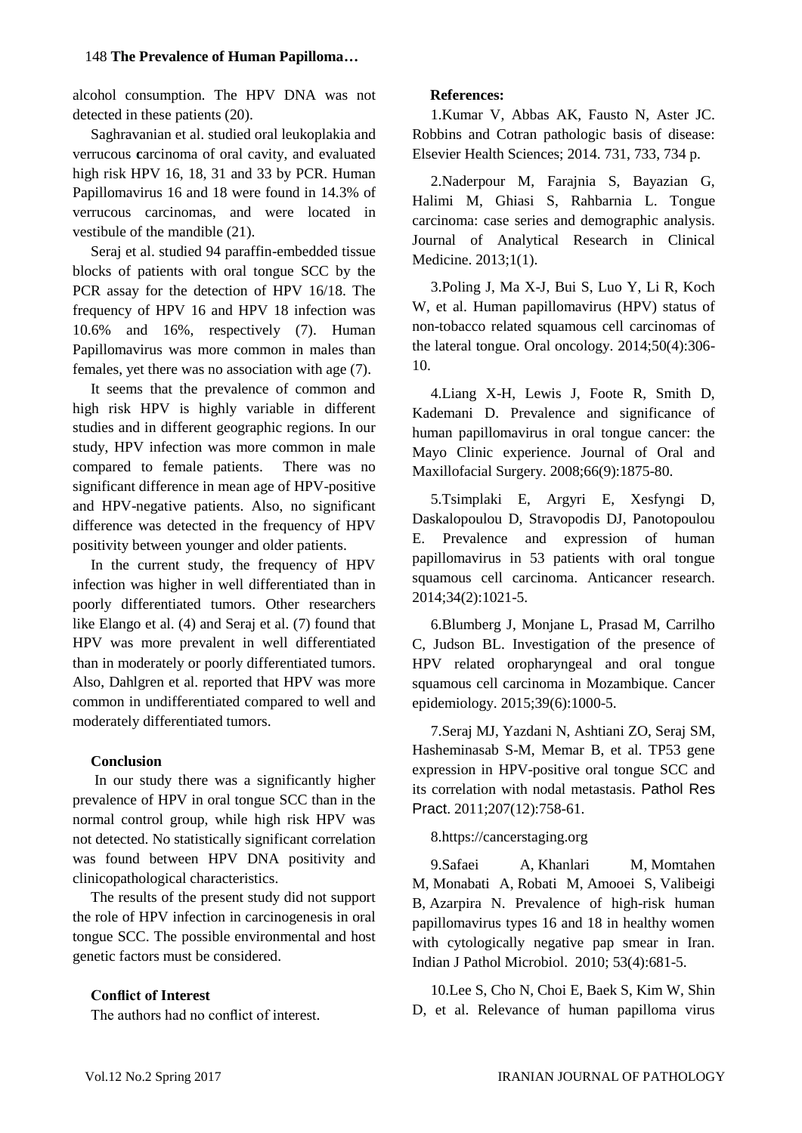### 148 **The Prevalence of Human Papilloma…**

alcohol consumption. The HPV DNA was not detected in these patients (20).

[Saghravanian](https://www.ncbi.nlm.nih.gov/pubmed/?term=Saghravanian%20N%5BAuthor%5D&cauthor=true&cauthor_uid=21466259) et al. studied oral leukoplakia and verrucous **c**arcinoma of oral cavity, and evaluated high risk HPV 16, 18, 31 and 33 by PCR. Human Papillomavirus 16 and 18 were found in 14.3% of verrucous carcinomas, and were located in vestibule of the mandible (21).

Seraj et al. studied 94 paraffin-embedded tissue blocks of patients with oral tongue SCC by the PCR assay for the detection of HPV 16/18. The frequency of HPV 16 and HPV 18 infection was 10.6% and 16%, respectively (7). Human Papillomavirus was more common in males than females, yet there was no association with age (7).

It seems that the prevalence of common and high risk HPV is highly variable in different studies and in different geographic regions. In our study, HPV infection was more common in male compared to female patients. There was no significant difference in mean age of HPV-positive and HPV-negative patients. Also, no significant difference was detected in the frequency of HPV positivity between younger and older patients.

In the current study, the frequency of HPV infection was higher in well differentiated than in poorly differentiated tumors. Other researchers like Elango et al. (4) and Seraj et al. (7) found that HPV was more prevalent in well differentiated than in moderately or poorly differentiated tumors. Also, Dahlgren et al. reported that HPV was more common in undifferentiated compared to well and moderately differentiated tumors.

### **Conclusion**

In our study there was a significantly higher prevalence of HPV in oral tongue SCC than in the normal control group, while high risk HPV was not detected. No statistically significant correlation was found between HPV DNA positivity and clinicopathological characteristics.

The results of the present study did not support the role of HPV infection in carcinogenesis in oral tongue SCC. The possible environmental and host genetic factors must be considered.

# **Conflict of Interest**

The authors had no conflict of interest.

### **References:**

1.Kumar V, Abbas AK, Fausto N, Aster JC. Robbins and Cotran pathologic basis of disease: Elsevier Health Sciences; 2014. 731, 733, 734 p.

2.Naderpour M, Farajnia S, Bayazian G, Halimi M, Ghiasi S, Rahbarnia L. Tongue carcinoma: case series and demographic analysis. Journal of Analytical Research in Clinical Medicine. 2013;1(1).

3.Poling J, Ma X-J, Bui S, Luo Y, Li R, Koch W, et al. Human papillomavirus (HPV) status of non-tobacco related squamous cell carcinomas of the lateral tongue. Oral oncology. 2014;50(4):306- 10.

4.Liang X-H, Lewis J, Foote R, Smith D, Kademani D. Prevalence and significance of human papillomavirus in oral tongue cancer: the Mayo Clinic experience. Journal of Oral and Maxillofacial Surgery. 2008;66(9):1875-80.

5.Tsimplaki E, Argyri E, Xesfyngi D, Daskalopoulou D, Stravopodis DJ, Panotopoulou E. Prevalence and expression of human papillomavirus in 53 patients with oral tongue squamous cell carcinoma. Anticancer research. 2014;34(2):1021-5.

6.Blumberg J, Monjane L, Prasad M, Carrilho C, Judson BL. Investigation of the presence of HPV related oropharyngeal and oral tongue squamous cell carcinoma in Mozambique. Cancer epidemiology. 2015;39(6):1000-5.

7.Seraj MJ, Yazdani N, Ashtiani ZO, Seraj SM, Hasheminasab S-M, Memar B, et al. TP53 gene expression in HPV-positive oral tongue SCC and its correlation with nodal metastasis. Pathol Res Pract. 2011;207(12):758-61.

#### 8[.https://cancerstaging.org](https://cancerstaging.org/)

9[.Safaei A,](https://www.ncbi.nlm.nih.gov/pubmed/?term=Safaei%20A%5BAuthor%5D&cauthor=true&cauthor_uid=21045392) [Khanlari M,](https://www.ncbi.nlm.nih.gov/pubmed/?term=Khanlari%20M%5BAuthor%5D&cauthor=true&cauthor_uid=21045392) [Momtahen](https://www.ncbi.nlm.nih.gov/pubmed/?term=Momtahen%20M%5BAuthor%5D&cauthor=true&cauthor_uid=21045392)  [M,](https://www.ncbi.nlm.nih.gov/pubmed/?term=Momtahen%20M%5BAuthor%5D&cauthor=true&cauthor_uid=21045392) [Monabati A,](https://www.ncbi.nlm.nih.gov/pubmed/?term=Monabati%20A%5BAuthor%5D&cauthor=true&cauthor_uid=21045392) [Robati M,](https://www.ncbi.nlm.nih.gov/pubmed/?term=Robati%20M%5BAuthor%5D&cauthor=true&cauthor_uid=21045392) [Amooei S,](https://www.ncbi.nlm.nih.gov/pubmed/?term=Amooei%20S%5BAuthor%5D&cauthor=true&cauthor_uid=21045392) [Valibeigi](https://www.ncbi.nlm.nih.gov/pubmed/?term=Valibeigi%20B%5BAuthor%5D&cauthor=true&cauthor_uid=21045392)  [B,](https://www.ncbi.nlm.nih.gov/pubmed/?term=Valibeigi%20B%5BAuthor%5D&cauthor=true&cauthor_uid=21045392) [Azarpira N.](https://www.ncbi.nlm.nih.gov/pubmed/?term=Azarpira%20N%5BAuthor%5D&cauthor=true&cauthor_uid=21045392) Prevalence of high-risk human papillomavirus types 16 and 18 in healthy women with cytologically negative pap smear in Iran. [Indian J Pathol Microbiol.](https://www.ncbi.nlm.nih.gov/pubmed/?term=azarpira+n%2C+HPV) 2010; 53(4):681-5.

10.Lee S, Cho N, Choi E, Baek S, Kim W, Shin D, et al. Relevance of human papilloma virus